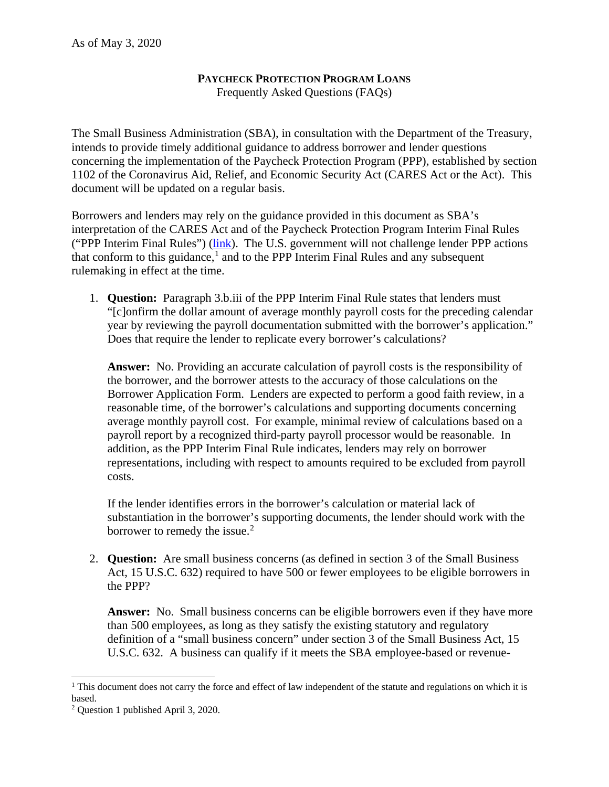## **PAYCHECK PROTECTION PROGRAM LOANS**

Frequently Asked Questions (FAQs)

The Small Business Administration (SBA), in consultation with the Department of the Treasury, intends to provide timely additional guidance to address borrower and lender questions concerning the implementation of the Paycheck Protection Program (PPP), established by section 1102 of the Coronavirus Aid, Relief, and Economic Security Act (CARES Act or the Act). This document will be updated on a regular basis.

Borrowers and lenders may rely on the guidance provided in this document as SBA's interpretation of the CARES Act and of the Paycheck Protection Program Interim Final Rules ("PPP Interim Final Rules") [\(link\)](https://home.treasury.gov/policy-issues/cares/assistance-for-small-businesses). The U.S. government will not challenge lender PPP actions that conform to this guidance,<sup>[1](#page-0-0)</sup> and to the PPP Interim Final Rules and any subsequent rulemaking in effect at the time.

1. **Question:** Paragraph 3.b.iii of the PPP Interim Final Rule states that lenders must "[c]onfirm the dollar amount of average monthly payroll costs for the preceding calendar year by reviewing the payroll documentation submitted with the borrower's application." Does that require the lender to replicate every borrower's calculations?

**Answer:** No. Providing an accurate calculation of payroll costs is the responsibility of the borrower, and the borrower attests to the accuracy of those calculations on the Borrower Application Form. Lenders are expected to perform a good faith review, in a reasonable time, of the borrower's calculations and supporting documents concerning average monthly payroll cost. For example, minimal review of calculations based on a payroll report by a recognized third-party payroll processor would be reasonable. In addition, as the PPP Interim Final Rule indicates, lenders may rely on borrower representations, including with respect to amounts required to be excluded from payroll costs.

If the lender identifies errors in the borrower's calculation or material lack of substantiation in the borrower's supporting documents, the lender should work with the borrower to remedy the issue. $2$ 

2. **Question:** Are small business concerns (as defined in section 3 of the Small Business Act, 15 U.S.C. 632) required to have 500 or fewer employees to be eligible borrowers in the PPP?

**Answer:** No. Small business concerns can be eligible borrowers even if they have more than 500 employees, as long as they satisfy the existing statutory and regulatory definition of a "small business concern" under section 3 of the Small Business Act, 15 U.S.C. 632. A business can qualify if it meets the SBA employee-based or revenue-

<span id="page-0-0"></span> $\overline{a}$  $1$ . This document does not carry the force and effect of law independent of the statute and regulations on which it is based.

<span id="page-0-1"></span><sup>2</sup> Question 1 published April 3, 2020.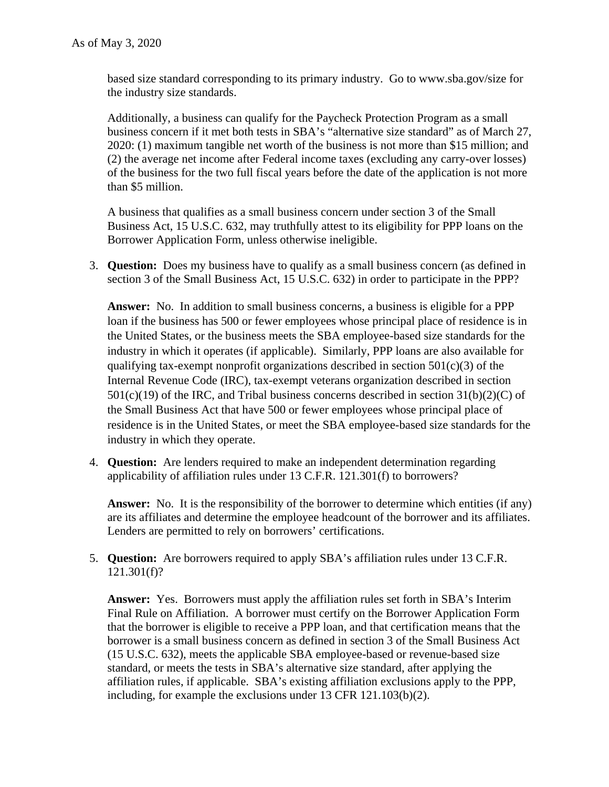based size standard corresponding to its primary industry. Go to www.sba.gov/size for the industry size standards.

Additionally, a business can qualify for the Paycheck Protection Program as a small business concern if it met both tests in SBA's "alternative size standard" as of March 27, 2020: (1) maximum tangible net worth of the business is not more than \$15 million; and (2) the average net income after Federal income taxes (excluding any carry-over losses) of the business for the two full fiscal years before the date of the application is not more than \$5 million.

A business that qualifies as a small business concern under section 3 of the Small Business Act, 15 U.S.C. 632, may truthfully attest to its eligibility for PPP loans on the Borrower Application Form, unless otherwise ineligible.

3. **Question:** Does my business have to qualify as a small business concern (as defined in section 3 of the Small Business Act, 15 U.S.C. 632) in order to participate in the PPP?

**Answer:** No. In addition to small business concerns, a business is eligible for a PPP loan if the business has 500 or fewer employees whose principal place of residence is in the United States, or the business meets the SBA employee-based size standards for the industry in which it operates (if applicable). Similarly, PPP loans are also available for qualifying tax-exempt nonprofit organizations described in section  $501(c)(3)$  of the Internal Revenue Code (IRC), tax-exempt veterans organization described in section  $501(c)(19)$  of the IRC, and Tribal business concerns described in section  $31(b)(2)(C)$  of the Small Business Act that have 500 or fewer employees whose principal place of residence is in the United States, or meet the SBA employee-based size standards for the industry in which they operate.

4. **Question:** Are lenders required to make an independent determination regarding applicability of affiliation rules under 13 C.F.R. 121.301(f) to borrowers?

**Answer:** No. It is the responsibility of the borrower to determine which entities (if any) are its affiliates and determine the employee headcount of the borrower and its affiliates. Lenders are permitted to rely on borrowers' certifications.

5. **Question:** Are borrowers required to apply SBA's affiliation rules under 13 C.F.R. 121.301(f)?

**Answer:** Yes. Borrowers must apply the affiliation rules set forth in SBA's Interim Final Rule on Affiliation. A borrower must certify on the Borrower Application Form that the borrower is eligible to receive a PPP loan, and that certification means that the borrower is a small business concern as defined in section 3 of the Small Business Act (15 U.S.C. 632), meets the applicable SBA employee-based or revenue-based size standard, or meets the tests in SBA's alternative size standard, after applying the affiliation rules, if applicable. SBA's existing affiliation exclusions apply to the PPP, including, for example the exclusions under 13 CFR 121.103(b)(2).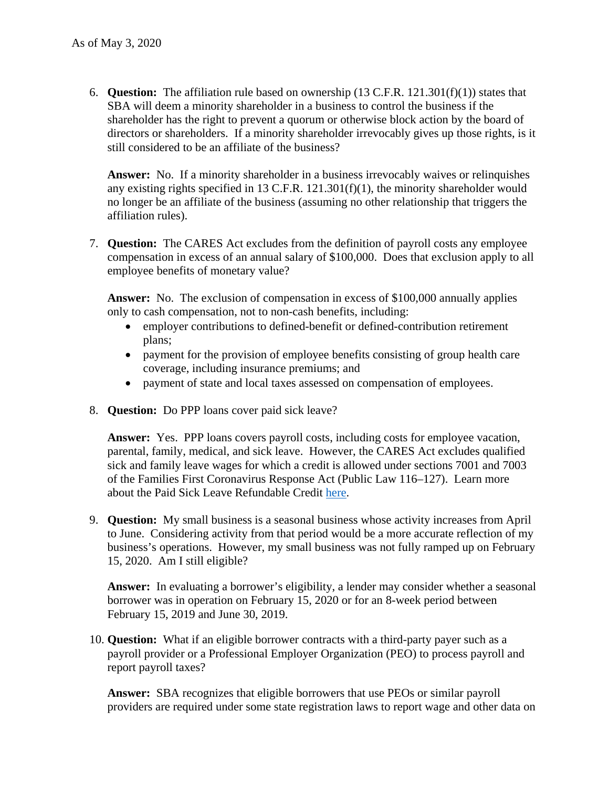6. **Question:** The affiliation rule based on ownership (13 C.F.R. 121.301(f)(1)) states that SBA will deem a minority shareholder in a business to control the business if the shareholder has the right to prevent a quorum or otherwise block action by the board of directors or shareholders. If a minority shareholder irrevocably gives up those rights, is it still considered to be an affiliate of the business?

**Answer:** No. If a minority shareholder in a business irrevocably waives or relinquishes any existing rights specified in 13 C.F.R. 121.301(f)(1), the minority shareholder would no longer be an affiliate of the business (assuming no other relationship that triggers the affiliation rules).

7. **Question:** The CARES Act excludes from the definition of payroll costs any employee compensation in excess of an annual salary of \$100,000. Does that exclusion apply to all employee benefits of monetary value?

**Answer:** No. The exclusion of compensation in excess of \$100,000 annually applies only to cash compensation, not to non-cash benefits, including:

- employer contributions to defined-benefit or defined-contribution retirement plans;
- payment for the provision of employee benefits consisting of group health care coverage, including insurance premiums; and
- payment of state and local taxes assessed on compensation of employees.
- 8. **Question:** Do PPP loans cover paid sick leave?

**Answer:** Yes. PPP loans covers payroll costs, including costs for employee vacation, parental, family, medical, and sick leave. However, the CARES Act excludes qualified sick and family leave wages for which a credit is allowed under sections 7001 and 7003 of the Families First Coronavirus Response Act (Public Law 116–127). Learn more about the Paid Sick Leave Refundable Credit [here.](https://www.irs.gov/newsroom/covid-19-related-tax-credits-for-required-paid-leave-provided-by-small-and-midsize-businesses-faqs)

9. **Question:** My small business is a seasonal business whose activity increases from April to June. Considering activity from that period would be a more accurate reflection of my business's operations. However, my small business was not fully ramped up on February 15, 2020. Am I still eligible?

**Answer:** In evaluating a borrower's eligibility, a lender may consider whether a seasonal borrower was in operation on February 15, 2020 or for an 8-week period between February 15, 2019 and June 30, 2019.

10. **Question:** What if an eligible borrower contracts with a third-party payer such as a payroll provider or a Professional Employer Organization (PEO) to process payroll and report payroll taxes?

**Answer:** SBA recognizes that eligible borrowers that use PEOs or similar payroll providers are required under some state registration laws to report wage and other data on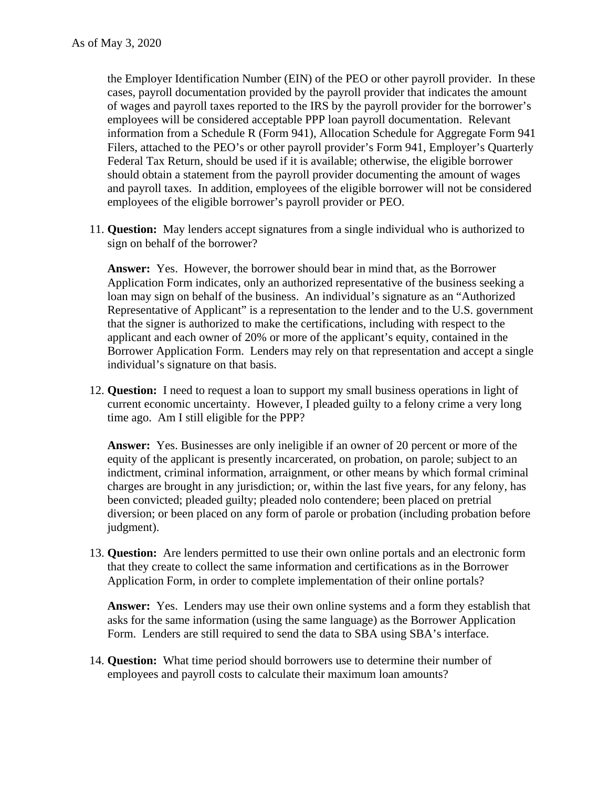the Employer Identification Number (EIN) of the PEO or other payroll provider. In these cases, payroll documentation provided by the payroll provider that indicates the amount of wages and payroll taxes reported to the IRS by the payroll provider for the borrower's employees will be considered acceptable PPP loan payroll documentation. Relevant information from a Schedule R (Form 941), Allocation Schedule for Aggregate Form 941 Filers, attached to the PEO's or other payroll provider's Form 941, Employer's Quarterly Federal Tax Return, should be used if it is available; otherwise, the eligible borrower should obtain a statement from the payroll provider documenting the amount of wages and payroll taxes. In addition, employees of the eligible borrower will not be considered employees of the eligible borrower's payroll provider or PEO.

11. **Question:** May lenders accept signatures from a single individual who is authorized to sign on behalf of the borrower?

**Answer:** Yes. However, the borrower should bear in mind that, as the Borrower Application Form indicates, only an authorized representative of the business seeking a loan may sign on behalf of the business. An individual's signature as an "Authorized Representative of Applicant" is a representation to the lender and to the U.S. government that the signer is authorized to make the certifications, including with respect to the applicant and each owner of 20% or more of the applicant's equity, contained in the Borrower Application Form. Lenders may rely on that representation and accept a single individual's signature on that basis.

12. **Question:** I need to request a loan to support my small business operations in light of current economic uncertainty. However, I pleaded guilty to a felony crime a very long time ago. Am I still eligible for the PPP?

**Answer:** Yes. Businesses are only ineligible if an owner of 20 percent or more of the equity of the applicant is presently incarcerated, on probation, on parole; subject to an indictment, criminal information, arraignment, or other means by which formal criminal charges are brought in any jurisdiction; or, within the last five years, for any felony, has been convicted; pleaded guilty; pleaded nolo contendere; been placed on pretrial diversion; or been placed on any form of parole or probation (including probation before judgment).

13. **Question:** Are lenders permitted to use their own online portals and an electronic form that they create to collect the same information and certifications as in the Borrower Application Form, in order to complete implementation of their online portals?

**Answer:** Yes. Lenders may use their own online systems and a form they establish that asks for the same information (using the same language) as the Borrower Application Form. Lenders are still required to send the data to SBA using SBA's interface.

14. **Question:** What time period should borrowers use to determine their number of employees and payroll costs to calculate their maximum loan amounts?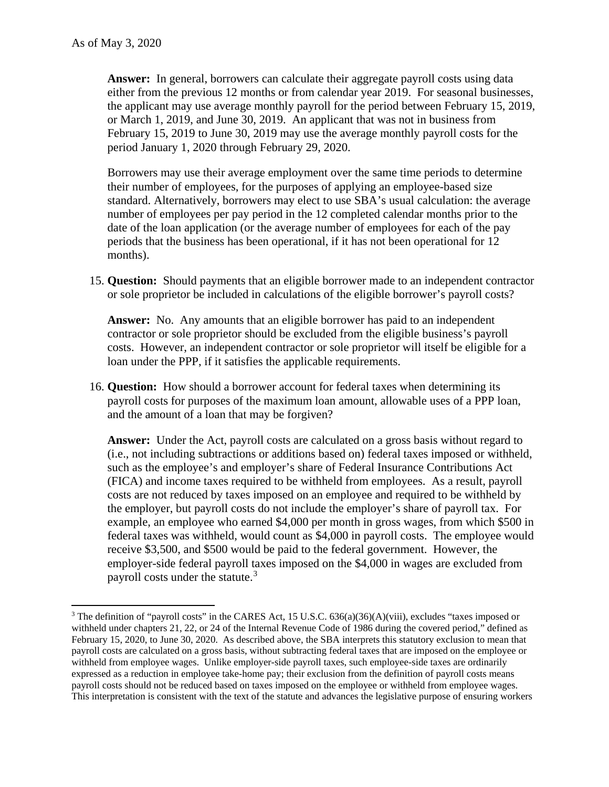$\overline{a}$ 

**Answer:** In general, borrowers can calculate their aggregate payroll costs using data either from the previous 12 months or from calendar year 2019. For seasonal businesses, the applicant may use average monthly payroll for the period between February 15, 2019, or March 1, 2019, and June 30, 2019. An applicant that was not in business from February 15, 2019 to June 30, 2019 may use the average monthly payroll costs for the period January 1, 2020 through February 29, 2020.

Borrowers may use their average employment over the same time periods to determine their number of employees, for the purposes of applying an employee-based size standard. Alternatively, borrowers may elect to use SBA's usual calculation: the average number of employees per pay period in the 12 completed calendar months prior to the date of the loan application (or the average number of employees for each of the pay periods that the business has been operational, if it has not been operational for 12 months).

15. **Question:** Should payments that an eligible borrower made to an independent contractor or sole proprietor be included in calculations of the eligible borrower's payroll costs?

**Answer:** No. Any amounts that an eligible borrower has paid to an independent contractor or sole proprietor should be excluded from the eligible business's payroll costs. However, an independent contractor or sole proprietor will itself be eligible for a loan under the PPP, if it satisfies the applicable requirements.

16. **Question:** How should a borrower account for federal taxes when determining its payroll costs for purposes of the maximum loan amount, allowable uses of a PPP loan, and the amount of a loan that may be forgiven?

**Answer:** Under the Act, payroll costs are calculated on a gross basis without regard to (i.e., not including subtractions or additions based on) federal taxes imposed or withheld, such as the employee's and employer's share of Federal Insurance Contributions Act (FICA) and income taxes required to be withheld from employees. As a result, payroll costs are not reduced by taxes imposed on an employee and required to be withheld by the employer, but payroll costs do not include the employer's share of payroll tax. For example, an employee who earned \$4,000 per month in gross wages, from which \$500 in federal taxes was withheld, would count as \$4,000 in payroll costs. The employee would receive \$3,500, and \$500 would be paid to the federal government. However, the employer-side federal payroll taxes imposed on the \$4,000 in wages are excluded from payroll costs under the statute.<sup>[3](#page-4-0)</sup>

<span id="page-4-0"></span><sup>&</sup>lt;sup>3</sup> The definition of "payroll costs" in the CARES Act, 15 U.S.C.  $636(a)(36)(A)(viii)$ , excludes "taxes imposed or withheld under chapters 21, 22, or 24 of the Internal Revenue Code of 1986 during the covered period," defined as February 15, 2020, to June 30, 2020. As described above, the SBA interprets this statutory exclusion to mean that payroll costs are calculated on a gross basis, without subtracting federal taxes that are imposed on the employee or withheld from employee wages. Unlike employer-side payroll taxes, such employee-side taxes are ordinarily expressed as a reduction in employee take-home pay; their exclusion from the definition of payroll costs means payroll costs should not be reduced based on taxes imposed on the employee or withheld from employee wages. This interpretation is consistent with the text of the statute and advances the legislative purpose of ensuring workers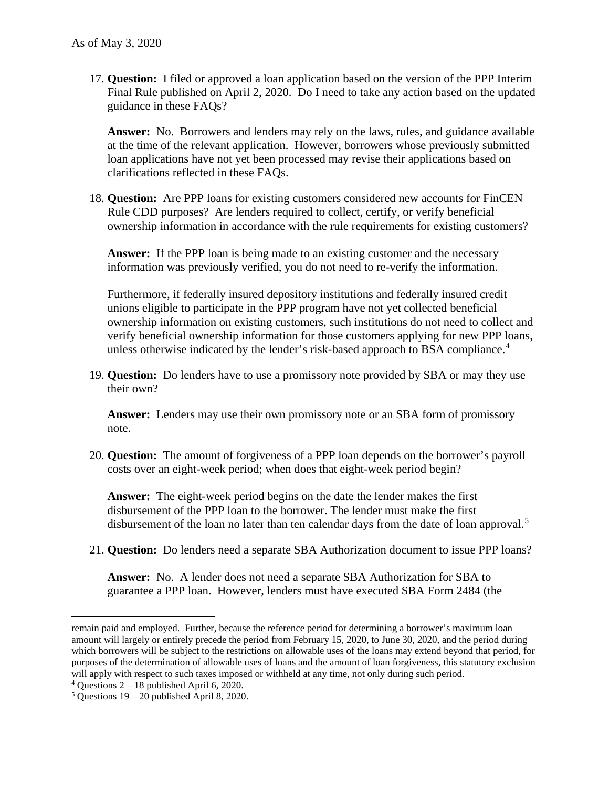17. **Question:** I filed or approved a loan application based on the version of the PPP Interim Final Rule published on April 2, 2020. Do I need to take any action based on the updated guidance in these FAQs?

**Answer:** No. Borrowers and lenders may rely on the laws, rules, and guidance available at the time of the relevant application. However, borrowers whose previously submitted loan applications have not yet been processed may revise their applications based on clarifications reflected in these FAQs.

18. **Question:** Are PPP loans for existing customers considered new accounts for FinCEN Rule CDD purposes? Are lenders required to collect, certify, or verify beneficial ownership information in accordance with the rule requirements for existing customers?

**Answer:** If the PPP loan is being made to an existing customer and the necessary information was previously verified, you do not need to re-verify the information.

Furthermore, if federally insured depository institutions and federally insured credit unions eligible to participate in the PPP program have not yet collected beneficial ownership information on existing customers, such institutions do not need to collect and verify beneficial ownership information for those customers applying for new PPP loans, unless otherwise indicated by the lender's risk-based approach to BSA compliance.<sup>[4](#page-5-0)</sup>

19. **Question:** Do lenders have to use a promissory note provided by SBA or may they use their own?

**Answer:** Lenders may use their own promissory note or an SBA form of promissory note.

20. **Question:** The amount of forgiveness of a PPP loan depends on the borrower's payroll costs over an eight-week period; when does that eight-week period begin?

**Answer:** The eight-week period begins on the date the lender makes the first disbursement of the PPP loan to the borrower. The lender must make the first disbursement of the loan no later than ten calendar days from the date of loan approval.<sup>[5](#page-5-1)</sup>

21. **Question:** Do lenders need a separate SBA Authorization document to issue PPP loans?

**Answer:** No. A lender does not need a separate SBA Authorization for SBA to guarantee a PPP loan. However, lenders must have executed SBA Form 2484 (the

 $\overline{\phantom{a}}$ 

remain paid and employed. Further, because the reference period for determining a borrower's maximum loan amount will largely or entirely precede the period from February 15, 2020, to June 30, 2020, and the period during which borrowers will be subject to the restrictions on allowable uses of the loans may extend beyond that period, for purposes of the determination of allowable uses of loans and the amount of loan forgiveness, this statutory exclusion will apply with respect to such taxes imposed or withheld at any time, not only during such period.<br><sup>4</sup> Ouestions 2 – 18 published April 6, 2020.

<span id="page-5-0"></span>

<span id="page-5-1"></span> $5$  Questions  $19 - 20$  published April 8, 2020.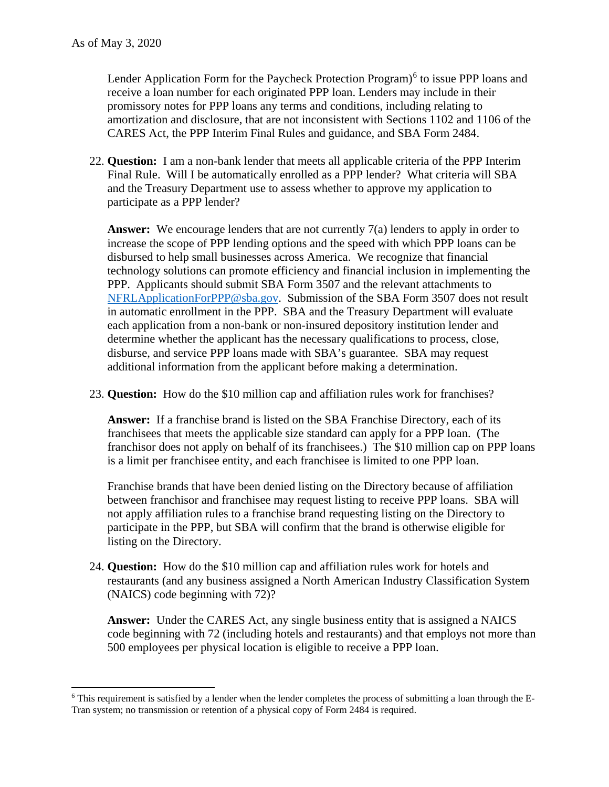$\overline{\phantom{a}}$ 

Lender Application Form for the Paycheck Protection Program)<sup>[6](#page-6-0)</sup> to issue PPP loans and receive a loan number for each originated PPP loan. Lenders may include in their promissory notes for PPP loans any terms and conditions, including relating to amortization and disclosure, that are not inconsistent with Sections 1102 and 1106 of the CARES Act, the PPP Interim Final Rules and guidance, and SBA Form 2484.

22. **Question:** I am a non-bank lender that meets all applicable criteria of the PPP Interim Final Rule. Will I be automatically enrolled as a PPP lender? What criteria will SBA and the Treasury Department use to assess whether to approve my application to participate as a PPP lender?

Answer: We encourage lenders that are not currently 7(a) lenders to apply in order to increase the scope of PPP lending options and the speed with which PPP loans can be disbursed to help small businesses across America. We recognize that financial technology solutions can promote efficiency and financial inclusion in implementing the PPP. Applicants should submit SBA Form 3507 and the relevant attachments to [NFRLApplicationForPPP@sba.gov.](mailto:NFRLApplicationForPPP@sba.gov) Submission of the SBA Form 3507 does not result in automatic enrollment in the PPP. SBA and the Treasury Department will evaluate each application from a non-bank or non-insured depository institution lender and determine whether the applicant has the necessary qualifications to process, close, disburse, and service PPP loans made with SBA's guarantee. SBA may request additional information from the applicant before making a determination.

23. **Question:** How do the \$10 million cap and affiliation rules work for franchises?

**Answer:** If a franchise brand is listed on the SBA Franchise Directory, each of its franchisees that meets the applicable size standard can apply for a PPP loan. (The franchisor does not apply on behalf of its franchisees.) The \$10 million cap on PPP loans is a limit per franchisee entity, and each franchisee is limited to one PPP loan.

Franchise brands that have been denied listing on the Directory because of affiliation between franchisor and franchisee may request listing to receive PPP loans. SBA will not apply affiliation rules to a franchise brand requesting listing on the Directory to participate in the PPP, but SBA will confirm that the brand is otherwise eligible for listing on the Directory.

24. **Question:** How do the \$10 million cap and affiliation rules work for hotels and restaurants (and any business assigned a North American Industry Classification System (NAICS) code beginning with 72)?

**Answer:** Under the CARES Act, any single business entity that is assigned a NAICS code beginning with 72 (including hotels and restaurants) and that employs not more than 500 employees per physical location is eligible to receive a PPP loan.

<span id="page-6-0"></span><sup>6</sup> This requirement is satisfied by a lender when the lender completes the process of submitting a loan through the E-Tran system; no transmission or retention of a physical copy of Form 2484 is required.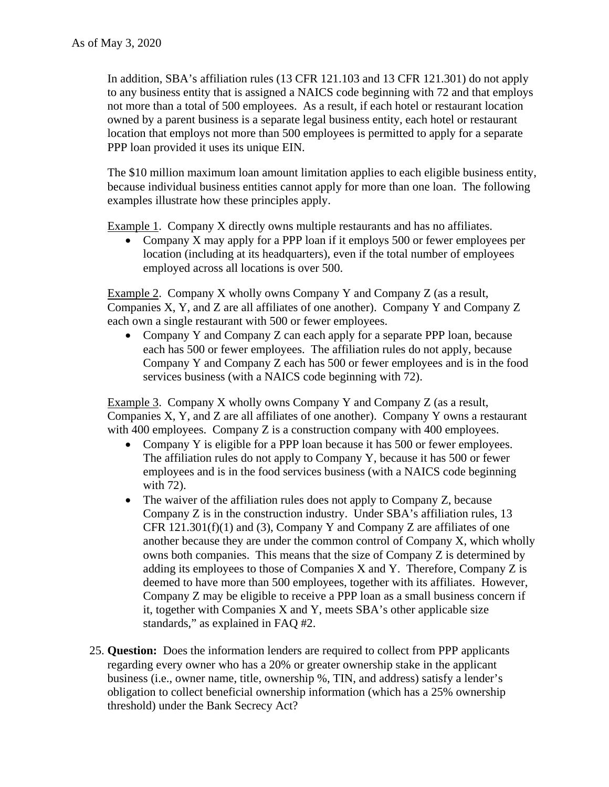In addition, SBA's affiliation rules (13 CFR 121.103 and 13 CFR 121.301) do not apply to any business entity that is assigned a NAICS code beginning with 72 and that employs not more than a total of 500 employees. As a result, if each hotel or restaurant location owned by a parent business is a separate legal business entity, each hotel or restaurant location that employs not more than 500 employees is permitted to apply for a separate PPP loan provided it uses its unique EIN.

The \$10 million maximum loan amount limitation applies to each eligible business entity, because individual business entities cannot apply for more than one loan. The following examples illustrate how these principles apply.

Example 1. Company X directly owns multiple restaurants and has no affiliates.

• Company X may apply for a PPP loan if it employs 500 or fewer employees per location (including at its headquarters), even if the total number of employees employed across all locations is over 500.

Example 2. Company X wholly owns Company Y and Company Z (as a result, Companies X, Y, and Z are all affiliates of one another). Company Y and Company Z each own a single restaurant with 500 or fewer employees.

• Company Y and Company Z can each apply for a separate PPP loan, because each has 500 or fewer employees. The affiliation rules do not apply, because Company Y and Company Z each has 500 or fewer employees and is in the food services business (with a NAICS code beginning with 72).

Example 3. Company X wholly owns Company Y and Company Z (as a result, Companies X, Y, and Z are all affiliates of one another). Company Y owns a restaurant with 400 employees. Company Z is a construction company with 400 employees.

- Company Y is eligible for a PPP loan because it has 500 or fewer employees. The affiliation rules do not apply to Company Y, because it has 500 or fewer employees and is in the food services business (with a NAICS code beginning with 72).
- The waiver of the affiliation rules does not apply to Company Z, because Company Z is in the construction industry. Under SBA's affiliation rules, 13 CFR 121.301(f)(1) and (3), Company Y and Company Z are affiliates of one another because they are under the common control of Company X, which wholly owns both companies. This means that the size of Company Z is determined by adding its employees to those of Companies X and Y. Therefore, Company Z is deemed to have more than 500 employees, together with its affiliates. However, Company Z may be eligible to receive a PPP loan as a small business concern if it, together with Companies X and Y, meets SBA's other applicable size standards," as explained in FAQ #2.
- 25. **Question:** Does the information lenders are required to collect from PPP applicants regarding every owner who has a 20% or greater ownership stake in the applicant business (i.e., owner name, title, ownership %, TIN, and address) satisfy a lender's obligation to collect beneficial ownership information (which has a 25% ownership threshold) under the Bank Secrecy Act?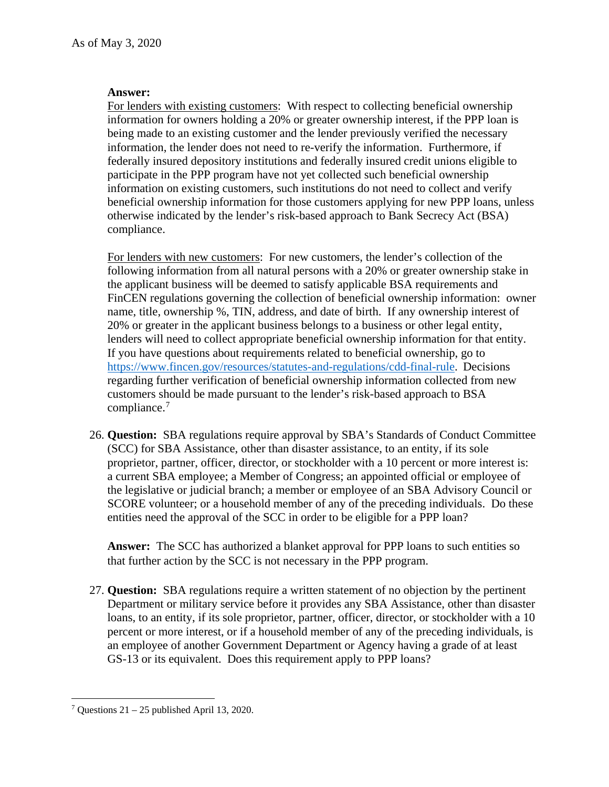## **Answer:**

For lenders with existing customers: With respect to collecting beneficial ownership information for owners holding a 20% or greater ownership interest, if the PPP loan is being made to an existing customer and the lender previously verified the necessary information, the lender does not need to re-verify the information. Furthermore, if federally insured depository institutions and federally insured credit unions eligible to participate in the PPP program have not yet collected such beneficial ownership information on existing customers, such institutions do not need to collect and verify beneficial ownership information for those customers applying for new PPP loans, unless otherwise indicated by the lender's risk-based approach to Bank Secrecy Act (BSA) compliance.

For lenders with new customers: For new customers, the lender's collection of the following information from all natural persons with a 20% or greater ownership stake in the applicant business will be deemed to satisfy applicable BSA requirements and FinCEN regulations governing the collection of beneficial ownership information: owner name, title, ownership %, TIN, address, and date of birth. If any ownership interest of 20% or greater in the applicant business belongs to a business or other legal entity, lenders will need to collect appropriate beneficial ownership information for that entity. If you have questions about requirements related to beneficial ownership, go to [https://www.fincen.gov/resources/statutes-and-regulations/cdd-final-rule.](https://www.fincen.gov/resources/statutes-and-regulations/cdd-final-rule) Decisions regarding further verification of beneficial ownership information collected from new customers should be made pursuant to the lender's risk-based approach to BSA compliance.<sup>[7](#page-8-0)</sup>

26. **Question:** SBA regulations require approval by SBA's Standards of Conduct Committee (SCC) for SBA Assistance, other than disaster assistance, to an entity, if its sole proprietor, partner, officer, director, or stockholder with a 10 percent or more interest is: a current SBA employee; a Member of Congress; an appointed official or employee of the legislative or judicial branch; a member or employee of an SBA Advisory Council or SCORE volunteer; or a household member of any of the preceding individuals. Do these entities need the approval of the SCC in order to be eligible for a PPP loan?

**Answer:** The SCC has authorized a blanket approval for PPP loans to such entities so that further action by the SCC is not necessary in the PPP program.

27. **Question:** SBA regulations require a written statement of no objection by the pertinent Department or military service before it provides any SBA Assistance, other than disaster loans, to an entity, if its sole proprietor, partner, officer, director, or stockholder with a 10 percent or more interest, or if a household member of any of the preceding individuals, is an employee of another Government Department or Agency having a grade of at least GS-13 or its equivalent. Does this requirement apply to PPP loans?

<span id="page-8-0"></span>l  $7$  Questions  $21 - 25$  published April 13, 2020.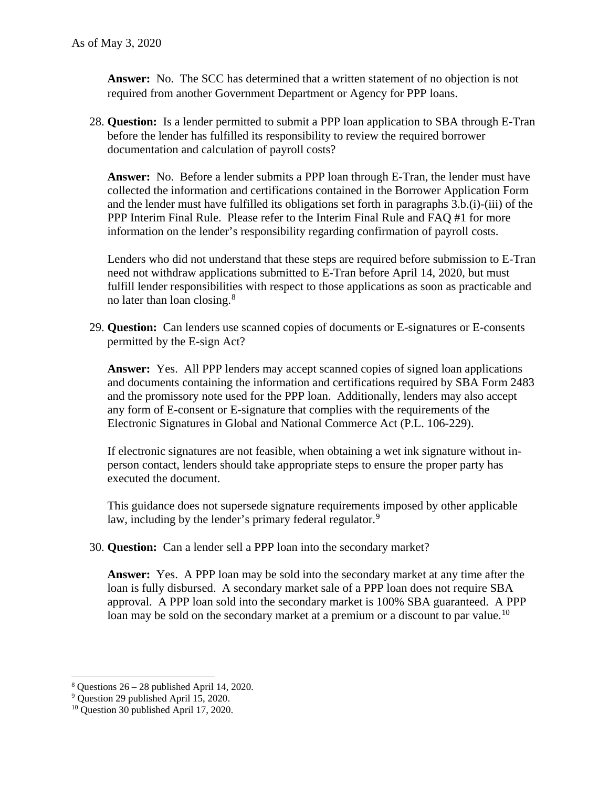**Answer:** No. The SCC has determined that a written statement of no objection is not required from another Government Department or Agency for PPP loans.

28. **Question:** Is a lender permitted to submit a PPP loan application to SBA through E-Tran before the lender has fulfilled its responsibility to review the required borrower documentation and calculation of payroll costs?

**Answer:** No. Before a lender submits a PPP loan through E-Tran, the lender must have collected the information and certifications contained in the Borrower Application Form and the lender must have fulfilled its obligations set forth in paragraphs 3.b.(i)-(iii) of the PPP Interim Final Rule. Please refer to the Interim Final Rule and FAQ #1 for more information on the lender's responsibility regarding confirmation of payroll costs.

Lenders who did not understand that these steps are required before submission to E-Tran need not withdraw applications submitted to E-Tran before April 14, 2020, but must fulfill lender responsibilities with respect to those applications as soon as practicable and no later than loan closing.<sup>[8](#page-9-0)</sup>

29. **Question:** Can lenders use scanned copies of documents or E-signatures or E-consents permitted by the E-sign Act?

**Answer:** Yes. All PPP lenders may accept scanned copies of signed loan applications and documents containing the information and certifications required by SBA Form 2483 and the promissory note used for the PPP loan. Additionally, lenders may also accept any form of E-consent or E-signature that complies with the requirements of the Electronic Signatures in Global and National Commerce Act (P.L. 106-229).

If electronic signatures are not feasible, when obtaining a wet ink signature without inperson contact, lenders should take appropriate steps to ensure the proper party has executed the document.

This guidance does not supersede signature requirements imposed by other applicable law, including by the lender's primary federal regulator.<sup>[9](#page-9-1)</sup>

30. **Question:** Can a lender sell a PPP loan into the secondary market?

**Answer:** Yes. A PPP loan may be sold into the secondary market at any time after the loan is fully disbursed. A secondary market sale of a PPP loan does not require SBA approval. A PPP loan sold into the secondary market is 100% SBA guaranteed. A PPP loan may be sold on the secondary market at a premium or a discount to par value.<sup>[10](#page-9-2)</sup>

 $\overline{a}$ 

<span id="page-9-0"></span> $8$  Questions  $26 - 28$  published April 14, 2020.

<span id="page-9-1"></span><sup>9</sup> Question 29 published April 15, 2020.

<span id="page-9-2"></span><sup>10</sup> Question 30 published April 17, 2020.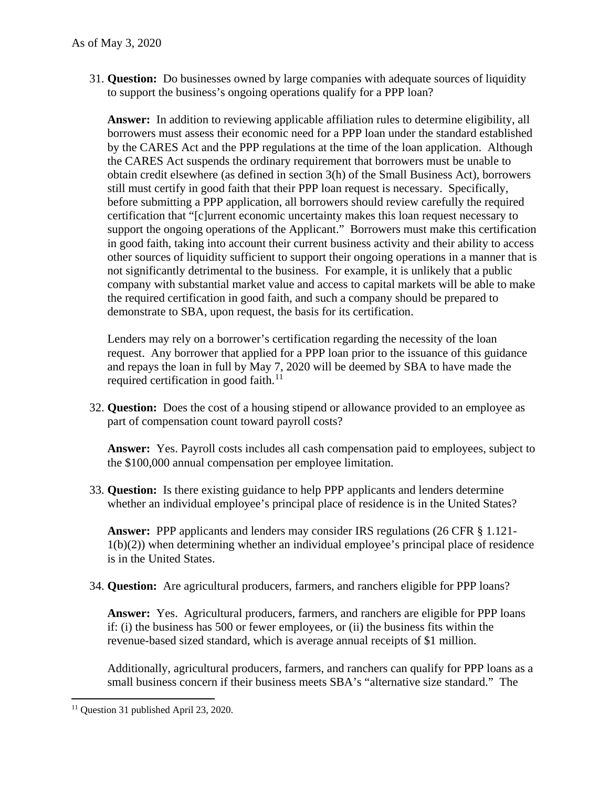31. **Question:** Do businesses owned by large companies with adequate sources of liquidity to support the business's ongoing operations qualify for a PPP loan?

**Answer:** In addition to reviewing applicable affiliation rules to determine eligibility, all borrowers must assess their economic need for a PPP loan under the standard established by the CARES Act and the PPP regulations at the time of the loan application. Although the CARES Act suspends the ordinary requirement that borrowers must be unable to obtain credit elsewhere (as defined in section 3(h) of the Small Business Act), borrowers still must certify in good faith that their PPP loan request is necessary. Specifically, before submitting a PPP application, all borrowers should review carefully the required certification that "[c]urrent economic uncertainty makes this loan request necessary to support the ongoing operations of the Applicant." Borrowers must make this certification in good faith, taking into account their current business activity and their ability to access other sources of liquidity sufficient to support their ongoing operations in a manner that is not significantly detrimental to the business. For example, it is unlikely that a public company with substantial market value and access to capital markets will be able to make the required certification in good faith, and such a company should be prepared to demonstrate to SBA, upon request, the basis for its certification.

Lenders may rely on a borrower's certification regarding the necessity of the loan request. Any borrower that applied for a PPP loan prior to the issuance of this guidance and repays the loan in full by May 7, 2020 will be deemed by SBA to have made the required certification in good faith.<sup>[11](#page-10-0)</sup>

32. **Question:** Does the cost of a housing stipend or allowance provided to an employee as part of compensation count toward payroll costs?

**Answer:** Yes. Payroll costs includes all cash compensation paid to employees, subject to the \$100,000 annual compensation per employee limitation.

33. **Question:** Is there existing guidance to help PPP applicants and lenders determine whether an individual employee's principal place of residence is in the United States?

**Answer:** PPP applicants and lenders may consider IRS regulations (26 CFR § 1.121-  $1(b)(2)$ ) when determining whether an individual employee's principal place of residence is in the United States.

34. **Question:** Are agricultural producers, farmers, and ranchers eligible for PPP loans?

**Answer:** Yes.Agricultural producers, farmers, and ranchers are eligible for PPP loans if: (i) the business has 500 or fewer employees, or (ii) the business fits within the revenue-based sized standard, which is average annual receipts of \$1 million.

Additionally, agricultural producers, farmers, and ranchers can qualify for PPP loans as a small business concern if their business meets SBA's "alternative size standard." The

<span id="page-10-0"></span> $\overline{\phantom{a}}$ <sup>11</sup> Question 31 published April 23, 2020.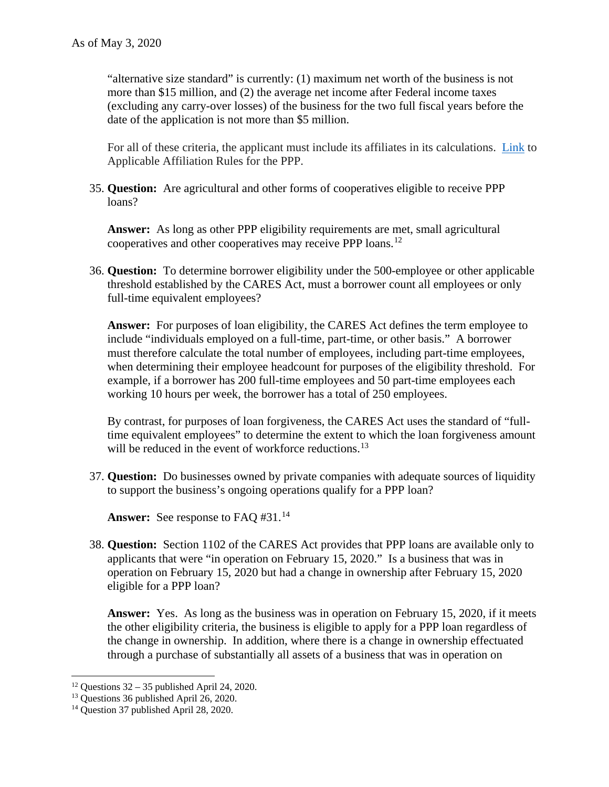"alternative size standard" is currently: (1) maximum net worth of the business is not more than \$15 million, and (2) the average net income after Federal income taxes (excluding any carry-over losses) of the business for the two full fiscal years before the date of the application is not more than \$5 million.

For all of these criteria, the applicant must include its affiliates in its calculations. [Link](https://www.sba.gov/document/support--affiliation-rules-paycheck-protection-program) to Applicable Affiliation Rules for the PPP.

35. **Question:** Are agricultural and other forms of cooperatives eligible to receive PPP loans?

**Answer:** As long as other PPP eligibility requirements are met, small agricultural cooperatives and other cooperatives may receive PPP loans.[12](#page-11-0)

36. **Question:** To determine borrower eligibility under the 500-employee or other applicable threshold established by the CARES Act, must a borrower count all employees or only full-time equivalent employees?

**Answer:** For purposes of loan eligibility, the CARES Act defines the term employee to include "individuals employed on a full-time, part-time, or other basis." A borrower must therefore calculate the total number of employees, including part-time employees, when determining their employee headcount for purposes of the eligibility threshold. For example, if a borrower has 200 full-time employees and 50 part-time employees each working 10 hours per week, the borrower has a total of 250 employees.

By contrast, for purposes of loan forgiveness, the CARES Act uses the standard of "fulltime equivalent employees" to determine the extent to which the loan forgiveness amount will be reduced in the event of workforce reductions.<sup>[13](#page-11-1)</sup>

37. **Question:** Do businesses owned by private companies with adequate sources of liquidity to support the business's ongoing operations qualify for a PPP loan?

Answer: See response to FAQ #31.<sup>[14](#page-11-2)</sup>

38. **Question:** Section 1102 of the CARES Act provides that PPP loans are available only to applicants that were "in operation on February 15, 2020." Is a business that was in operation on February 15, 2020 but had a change in ownership after February 15, 2020 eligible for a PPP loan?

**Answer:** Yes. As long as the business was in operation on February 15, 2020, if it meets the other eligibility criteria, the business is eligible to apply for a PPP loan regardless of the change in ownership. In addition, where there is a change in ownership effectuated through a purchase of substantially all assets of a business that was in operation on

 $\overline{a}$ 

<span id="page-11-0"></span><sup>&</sup>lt;sup>12</sup> Questions  $32 - 35$  published April 24, 2020.

<span id="page-11-1"></span><sup>13</sup> Questions 36 published April 26, 2020.

<span id="page-11-2"></span><sup>14</sup> Question 37 published April 28, 2020.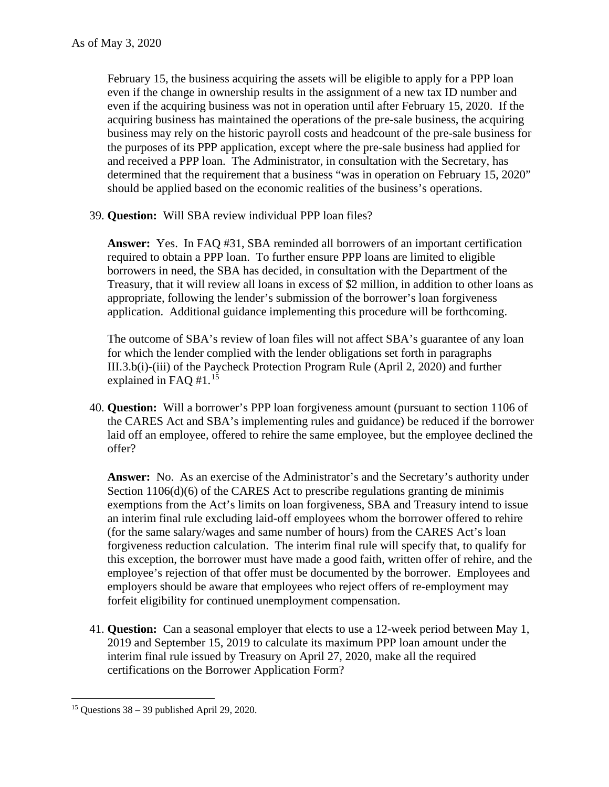February 15, the business acquiring the assets will be eligible to apply for a PPP loan even if the change in ownership results in the assignment of a new tax ID number and even if the acquiring business was not in operation until after February 15, 2020. If the acquiring business has maintained the operations of the pre-sale business, the acquiring business may rely on the historic payroll costs and headcount of the pre-sale business for the purposes of its PPP application, except where the pre-sale business had applied for and received a PPP loan. The Administrator, in consultation with the Secretary, has determined that the requirement that a business "was in operation on February 15, 2020" should be applied based on the economic realities of the business's operations.

39. **Question:** Will SBA review individual PPP loan files?

**Answer:** Yes. In FAQ #31, SBA reminded all borrowers of an important certification required to obtain a PPP loan. To further ensure PPP loans are limited to eligible borrowers in need, the SBA has decided, in consultation with the Department of the Treasury, that it will review all loans in excess of \$2 million, in addition to other loans as appropriate, following the lender's submission of the borrower's loan forgiveness application. Additional guidance implementing this procedure will be forthcoming.

The outcome of SBA's review of loan files will not affect SBA's guarantee of any loan for which the lender complied with the lender obligations set forth in paragraphs III.3.b(i)-(iii) of the Paycheck Protection Program Rule (April 2, 2020) and further explained in FAO #1.<sup>[15](#page-12-0)</sup>

40. **Question:** Will a borrower's PPP loan forgiveness amount (pursuant to section 1106 of the CARES Act and SBA's implementing rules and guidance) be reduced if the borrower laid off an employee, offered to rehire the same employee, but the employee declined the offer?

**Answer:** No. As an exercise of the Administrator's and the Secretary's authority under Section 1106(d)(6) of the CARES Act to prescribe regulations granting de minimis exemptions from the Act's limits on loan forgiveness, SBA and Treasury intend to issue an interim final rule excluding laid-off employees whom the borrower offered to rehire (for the same salary/wages and same number of hours) from the CARES Act's loan forgiveness reduction calculation. The interim final rule will specify that, to qualify for this exception, the borrower must have made a good faith, written offer of rehire, and the employee's rejection of that offer must be documented by the borrower. Employees and employers should be aware that employees who reject offers of re-employment may forfeit eligibility for continued unemployment compensation.

41. **Question:** Can a seasonal employer that elects to use a 12-week period between May 1, 2019 and September 15, 2019 to calculate its maximum PPP loan amount under the interim final rule issued by Treasury on April 27, 2020, make all the required certifications on the Borrower Application Form?

<span id="page-12-0"></span>l <sup>15</sup> Questions  $38 - 39$  published April 29, 2020.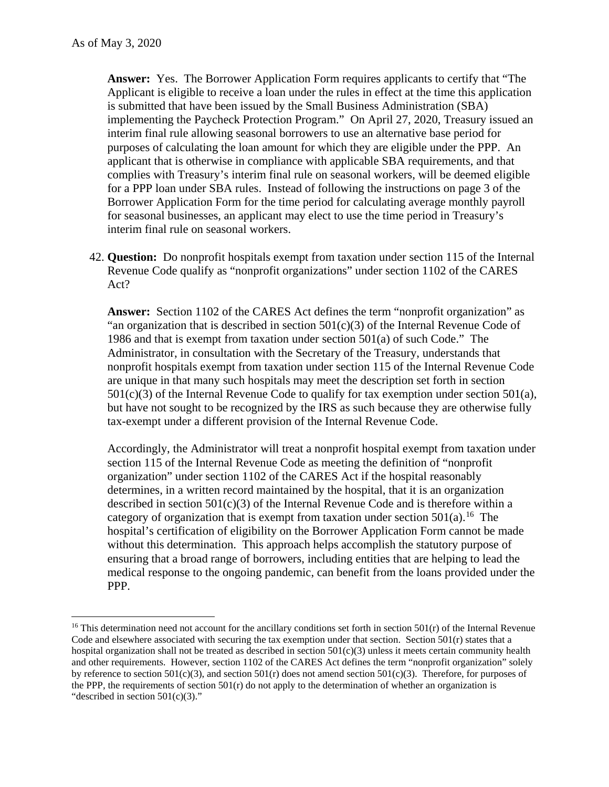$\overline{\phantom{a}}$ 

**Answer:** Yes. The Borrower Application Form requires applicants to certify that "The Applicant is eligible to receive a loan under the rules in effect at the time this application is submitted that have been issued by the Small Business Administration (SBA) implementing the Paycheck Protection Program." On April 27, 2020, Treasury issued an interim final rule allowing seasonal borrowers to use an alternative base period for purposes of calculating the loan amount for which they are eligible under the PPP. An applicant that is otherwise in compliance with applicable SBA requirements, and that complies with Treasury's interim final rule on seasonal workers, will be deemed eligible for a PPP loan under SBA rules. Instead of following the instructions on page 3 of the Borrower Application Form for the time period for calculating average monthly payroll for seasonal businesses, an applicant may elect to use the time period in Treasury's interim final rule on seasonal workers.

42. **Question:** Do nonprofit hospitals exempt from taxation under section 115 of the Internal Revenue Code qualify as "nonprofit organizations" under section 1102 of the CARES Act?

**Answer:** Section 1102 of the CARES Act defines the term "nonprofit organization" as "an organization that is described in section  $501(c)(3)$  of the Internal Revenue Code of 1986 and that is exempt from taxation under section 501(a) of such Code." The Administrator, in consultation with the Secretary of the Treasury, understands that nonprofit hospitals exempt from taxation under section 115 of the Internal Revenue Code are unique in that many such hospitals may meet the description set forth in section  $501(c)(3)$  of the Internal Revenue Code to qualify for tax exemption under section  $501(a)$ , but have not sought to be recognized by the IRS as such because they are otherwise fully tax-exempt under a different provision of the Internal Revenue Code.

Accordingly, the Administrator will treat a nonprofit hospital exempt from taxation under section 115 of the Internal Revenue Code as meeting the definition of "nonprofit organization" under section 1102 of the CARES Act if the hospital reasonably determines, in a written record maintained by the hospital, that it is an organization described in section  $501(c)(3)$  of the Internal Revenue Code and is therefore within a category of organization that is exempt from taxation under section  $501(a)$ .<sup>[16](#page-13-0)</sup> The hospital's certification of eligibility on the Borrower Application Form cannot be made without this determination. This approach helps accomplish the statutory purpose of ensuring that a broad range of borrowers, including entities that are helping to lead the medical response to the ongoing pandemic, can benefit from the loans provided under the PPP.

<span id="page-13-0"></span><sup>&</sup>lt;sup>16</sup> This determination need not account for the ancillary conditions set forth in section  $501(r)$  of the Internal Revenue Code and elsewhere associated with securing the tax exemption under that section. Section  $501(r)$  states that a hospital organization shall not be treated as described in section  $501(c)(3)$  unless it meets certain community health and other requirements. However, section 1102 of the CARES Act defines the term "nonprofit organization" solely by reference to section  $501(c)(3)$ , and section  $501(r)$  does not amend section  $501(c)(3)$ . Therefore, for purposes of the PPP, the requirements of section  $501(r)$  do not apply to the determination of whether an organization is "described in section  $501(c)(3)$ ."